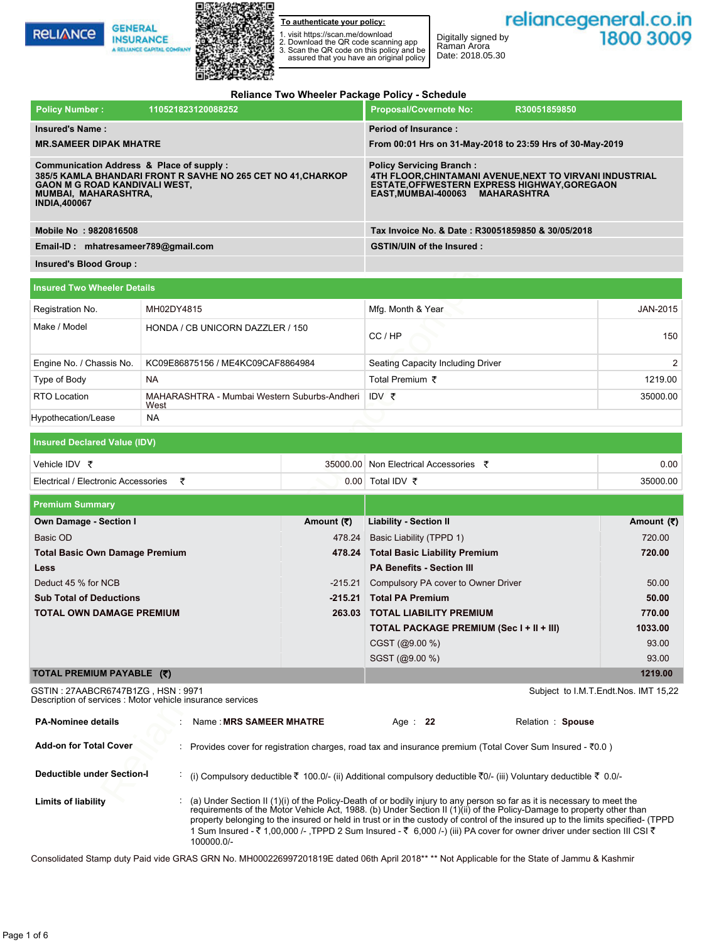**RELIANCE** 

**GENERAL** 

**INSURANCE** 



**To authenticate your policy:**

1. visit https://scan.me/download 2. Download the QR code scanning app 3. Scan the QR code on this policy and be assured that you have an original policy

Date: 2018.05.30

Digitally signed by Raman Arora

#### **Reliance Two Wheeler Package Policy - Schedule**

| <b>Policy Number:</b>                                                               | 110521823120088252                                                                                        | <b>Proposal/Covernote No:</b><br>R30051859850                                                                                                                                      |
|-------------------------------------------------------------------------------------|-----------------------------------------------------------------------------------------------------------|------------------------------------------------------------------------------------------------------------------------------------------------------------------------------------|
| <b>Insured's Name:</b><br><b>MR.SAMEER DIPAK MHATRE</b>                             |                                                                                                           | <b>Period of Insurance:</b><br>From 00:01 Hrs on 31-May-2018 to 23:59 Hrs of 30-May-2019                                                                                           |
| <b>GAON M G ROAD KANDIVALI WEST,</b><br>MUMBAI, MAHARASHTRA,<br><b>INDIA,400067</b> | Communication Address & Place of supply :<br>385/5 KAMLA BHANDARI FRONT R SAVHE NO 265 CET NO 41, CHARKOP | <b>Policy Servicing Branch:</b><br>4TH FLOOR.CHINTAMANI AVENUE.NEXT TO VIRVANI INDUSTRIAL<br><b>ESTATE, OFFWESTERN EXPRESS HIGHWAY, GOREGAON</b><br>EAST.MUMBAI-400063 MAHARASHTRA |
| Mobile No: 9820816508                                                               |                                                                                                           | Tax Invoice No. & Date: R30051859850 & 30/05/2018                                                                                                                                  |
| Email-ID: mhatresameer789@gmail.com                                                 |                                                                                                           | <b>GSTIN/UIN of the Insured:</b>                                                                                                                                                   |
| Insured's Blood Group:                                                              |                                                                                                           |                                                                                                                                                                                    |

| Insured Two Wheeler Details |                                                      |                                   |                       |  |
|-----------------------------|------------------------------------------------------|-----------------------------------|-----------------------|--|
| Registration No.            | MH02DY4815                                           | Mfg. Month & Year                 | JAN-2015              |  |
| Make / Model                | HONDA / CB UNICORN DAZZLER / 150                     | CC/HP                             | 150                   |  |
| Engine No. / Chassis No.    | KC09E86875156 / ME4KC09CAF8864984                    | Seating Capacity Including Driver | $\mathbf{2}^{\prime}$ |  |
| Type of Body                | <b>NA</b>                                            | Total Premium ₹                   | 1219.00               |  |
| <b>RTO Location</b>         | MAHARASHTRA - Mumbai Western Suburbs-Andheri<br>West | IDV ₹                             | 35000.00              |  |
| Hypothecation/Lease         | <b>NA</b>                                            |                                   |                       |  |

| Vehicle IDV ₹                       |  | 35000.00 Non Electrical Accessories | 0.00     |  |  |
|-------------------------------------|--|-------------------------------------|----------|--|--|
| Electrical / Electronic Accessories |  | 0.00 Total IDV $\bar{\tau}$         | 35000.00 |  |  |

| <b>I</b> VIIVY INMITING T                                                                                                                                                                       | 11092192012000292                                          |                   | ו ווטאסטווטנט ווער ווי                                                                                                                                                         |                                      |  |  |
|-------------------------------------------------------------------------------------------------------------------------------------------------------------------------------------------------|------------------------------------------------------------|-------------------|--------------------------------------------------------------------------------------------------------------------------------------------------------------------------------|--------------------------------------|--|--|
| <b>Insured's Name:</b>                                                                                                                                                                          |                                                            |                   | <b>Period of Insurance:</b>                                                                                                                                                    |                                      |  |  |
| <b>MR.SAMEER DIPAK MHATRE</b>                                                                                                                                                                   |                                                            |                   | From 00:01 Hrs on 31-May-2018 to 23:59 Hrs of 30-May-2019                                                                                                                      |                                      |  |  |
| Communication Address & Place of supply:<br>385/5 KAMLA BHANDARI FRONT R SAVHE NO 265 CET NO 41, CHARKOP<br><b>GAON M G ROAD KANDIVALI WEST,</b><br>MUMBAI, MAHARASHTRA,<br><b>INDIA,400067</b> |                                                            |                   | <b>Policy Servicing Branch:</b><br>4TH FLOOR, CHINTAMANI AVENUE, NEXT TO VIRVANI INDUSTRIAL<br>ESTATE, OFFWESTERN EXPRESS HIGHWAY, GOREGAON<br>EAST, MUMBAI-400063 MAHARASHTRA |                                      |  |  |
| Mobile No: 9820816508                                                                                                                                                                           |                                                            |                   | Tax Invoice No. & Date: R30051859850 & 30/05/2018                                                                                                                              |                                      |  |  |
| Email-ID: mhatresameer789@gmail.com                                                                                                                                                             |                                                            |                   | <b>GSTIN/UIN of the Insured:</b>                                                                                                                                               |                                      |  |  |
| Insured's Blood Group:                                                                                                                                                                          |                                                            |                   |                                                                                                                                                                                |                                      |  |  |
| <b>Insured Two Wheeler Details</b>                                                                                                                                                              |                                                            |                   |                                                                                                                                                                                |                                      |  |  |
| MH02DY4815<br>Registration No.                                                                                                                                                                  |                                                            | Mfg. Month & Year | JAN-2015                                                                                                                                                                       |                                      |  |  |
| Make / Model                                                                                                                                                                                    | HONDA / CB UNICORN DAZZLER / 150                           |                   | CC/HP                                                                                                                                                                          | 150                                  |  |  |
| Engine No. / Chassis No.                                                                                                                                                                        | KC09E86875156 / ME4KC09CAF8864984                          |                   | Seating Capacity Including Driver                                                                                                                                              | 2                                    |  |  |
| Type of Body                                                                                                                                                                                    | NA.                                                        |                   | Total Premium ₹                                                                                                                                                                | 1219.00                              |  |  |
| RTO Location                                                                                                                                                                                    | MAHARASHTRA - Mumbai Western Suburbs-Andheri<br>West       |                   | IDV ₹                                                                                                                                                                          | 35000.00                             |  |  |
| Hypothecation/Lease                                                                                                                                                                             | NA                                                         |                   |                                                                                                                                                                                |                                      |  |  |
|                                                                                                                                                                                                 |                                                            |                   |                                                                                                                                                                                |                                      |  |  |
| <b>Insured Declared Value (IDV)</b>                                                                                                                                                             |                                                            |                   |                                                                                                                                                                                |                                      |  |  |
| Vehicle IDV ₹                                                                                                                                                                                   |                                                            |                   | 35000.00 Non Electrical Accessories ₹                                                                                                                                          | 0.00                                 |  |  |
| Electrical / Electronic Accessories ₹                                                                                                                                                           |                                                            |                   | 0.00 Total IDV ₹<br>35000.00                                                                                                                                                   |                                      |  |  |
| <b>Premium Summary</b>                                                                                                                                                                          |                                                            |                   |                                                                                                                                                                                |                                      |  |  |
| <b>Own Damage - Section I</b>                                                                                                                                                                   |                                                            | Amount (₹)        | <b>Liability - Section II</b>                                                                                                                                                  | Amount (₹)                           |  |  |
| Basic OD                                                                                                                                                                                        |                                                            |                   | 478.24 Basic Liability (TPPD 1)                                                                                                                                                | 720.00                               |  |  |
| <b>Total Basic Own Damage Premium</b>                                                                                                                                                           |                                                            |                   | 478.24 Total Basic Liability Premium                                                                                                                                           | 720.00                               |  |  |
| Less                                                                                                                                                                                            |                                                            |                   | <b>PA Benefits - Section III</b>                                                                                                                                               |                                      |  |  |
| Deduct 45 % for NCB                                                                                                                                                                             |                                                            |                   | -215.21 Compulsory PA cover to Owner Driver                                                                                                                                    | 50.00                                |  |  |
| <b>Sub Total of Deductions</b>                                                                                                                                                                  |                                                            |                   | -215.21 Total PA Premium                                                                                                                                                       | 50.00                                |  |  |
| TOTAL OWN DAMAGE PREMIUM                                                                                                                                                                        |                                                            |                   | 263.03 TOTAL LIABILITY PREMIUM                                                                                                                                                 | 770.00                               |  |  |
|                                                                                                                                                                                                 |                                                            |                   | TOTAL PACKAGE PREMIUM (Sec I + II + III)                                                                                                                                       | 1033.00                              |  |  |
|                                                                                                                                                                                                 |                                                            |                   | CGST (@9.00 %)                                                                                                                                                                 | 93.00                                |  |  |
|                                                                                                                                                                                                 |                                                            |                   | SGST (@9.00 %)                                                                                                                                                                 | 93.00                                |  |  |
| TOTAL PREMIUM PAYABLE (₹)                                                                                                                                                                       |                                                            |                   |                                                                                                                                                                                | 1219.00                              |  |  |
| GSTIN : 27AABCR6747B1ZG , HSN : 9971                                                                                                                                                            | Description of services : Motor vehicle insurance services |                   |                                                                                                                                                                                | Subject to I.M.T.Endt.Nos. IMT 15,22 |  |  |
| <b>PA-Nominee details</b>                                                                                                                                                                       | Name: MRS SAMEER MHATRE                                    |                   | Age : $22$<br>Relation: Spouse                                                                                                                                                 |                                      |  |  |
| <b>Add-on for Total Cover</b>                                                                                                                                                                   |                                                            |                   | Provides cover for registration charges, road tax and insurance premium (Total Cover Sum Insured - $\bar{z}$ 0.0)                                                              |                                      |  |  |
| <b>Deductible under Section-I</b>                                                                                                                                                               |                                                            |                   | (i) Compulsory deductible ₹ 100.0/- (ii) Additional compulsory deductible ₹0/- (iii) Voluntary deductible ₹ 0.0/-                                                              |                                      |  |  |
| <b>Limite of lighility</b>                                                                                                                                                                      |                                                            |                   | $(2)$ (a) Under Section II (1)(i) of the Policy-Death of or bodily injury to any person so far as it is necessary to meet the                                                  |                                      |  |  |

GSTIN : 27AABCR6747B1ZG , HSN : 9971 Description of services : Motor vehicle insurance services

| <b>PA-Nominee details</b>         | Name: MRS SAMEER MHATRE                                                                                                                                                                                                                                                                                                                                                                                                                                                                                                        | Age $: 22$ | Relation: Spouse |  |
|-----------------------------------|--------------------------------------------------------------------------------------------------------------------------------------------------------------------------------------------------------------------------------------------------------------------------------------------------------------------------------------------------------------------------------------------------------------------------------------------------------------------------------------------------------------------------------|------------|------------------|--|
| <b>Add-on for Total Cover</b>     | Provides cover for registration charges, road tax and insurance premium (Total Cover Sum Insured - $\bar{z}$ 0.0)                                                                                                                                                                                                                                                                                                                                                                                                              |            |                  |  |
| <b>Deductible under Section-I</b> | (i) Compulsory deductible ₹ 100.0/- (ii) Additional compulsory deductible ₹0/- (iii) Voluntary deductible ₹ 0.0/-                                                                                                                                                                                                                                                                                                                                                                                                              |            |                  |  |
| <b>Limits of liability</b>        | (a) Under Section II (1)(i) of the Policy-Death of or bodily injury to any person so far as it is necessary to meet the<br>requirements of the Motor Vehicle Act, 1988. (b) Under Section II (1)(ii) of the Policy-Damage to property other than<br>property belonging to the insured or held in trust or in the custody of control of the insured up to the limits specified- (TPPD<br>1 Sum Insured - ₹ 1,00,000 /- ,TPPD 2 Sum Insured - ₹  6,000 /-) (iii) PA cover for owner driver under section III CSI ₹<br>100000.0/- |            |                  |  |

Consolidated Stamp duty Paid vide GRAS GRN No. MH000226997201819E dated 06th April 2018\*\* \*\* Not Applicable for the State of Jammu & Kashmir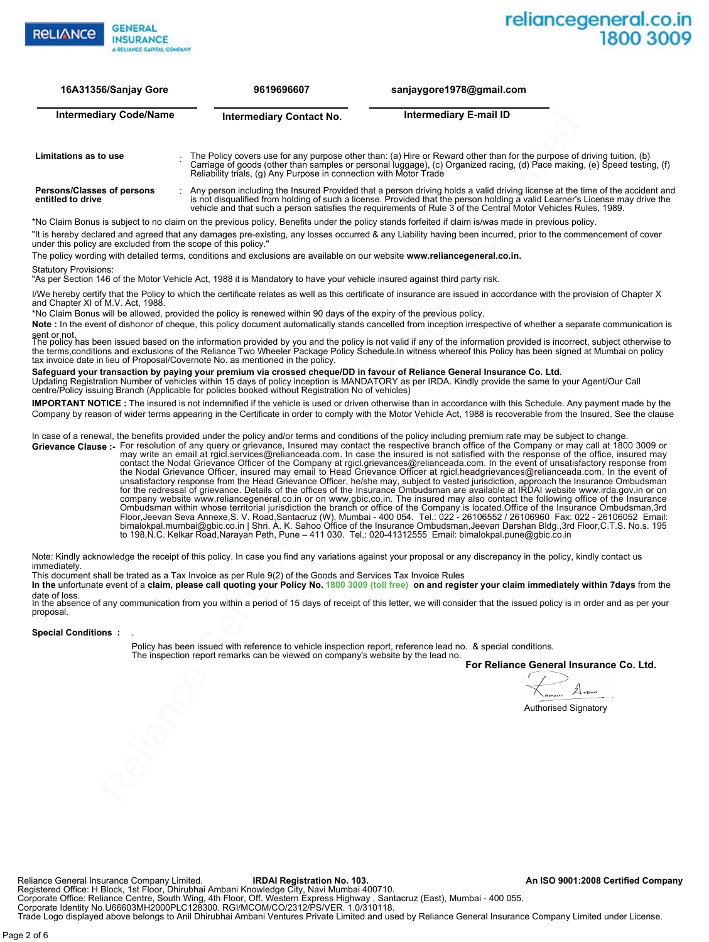

| 16A31356/Sanjay Gore          | 9619696607                      | sanjaygore1978@gmail.com |  |
|-------------------------------|---------------------------------|--------------------------|--|
| <b>Intermediary Code/Name</b> | <b>Intermediary Contact No.</b> | Intermediary E-mail ID   |  |
|                               |                                 |                          |  |

Carriage of goods (other than samples or personal luggage), (c) Organized racing, (d) Pace making, (e) Speed testing, (f)<br>Reliability trials, (g) Any Purpose in connection with Motor Trade **Persons/Classes of persons entitled to drive** Any person including the Insured Provided that a person driving holds a valid driving license at the time of the accident and :<br>is not disqualified from holding of such a license. Provided that the person holding a valid L vehicle and that such a person satisfies the requirements of Rule 3 of the Central Motor Vehicles Rules, 1989.

The Policy covers use for any purpose other than: (a) Hire or Reward other than for the purpose of driving tuition, (b)

\*No Claim Bonus is subject to no claim on the previous policy. Benefits under the policy stands forfeited if claim is/was made in previous policy. 4

"It is hereby declared and agreed that any damages pre-existing, any losses occurred & any Liability having been incurred, prior to the commencement of cover under this policy are excluded from the scope of this policy."

The policy wording with detailed terms, conditions and exclusions are available on our website **www.reliancegeneral.co.in.**

Statutory Provisions:

**Grievance Clause :-**

**Limitations as to use** 

"As per Section 146 of the Motor Vehicle Act, 1988 it is Mandatory to have your vehicle insured against third party risk.

I/We hereby certify that the Policy to which the certificate relates as well as this certificate of insurance are issued in accordance with the provision of Chapter X and Chapter XI of M.V. Act, 1988.

\*No Claim Bonus will be allowed, provided the policy is renewed within 90 days of the expiry of the previous policy.

Note : In the event of dishonor of cheque, this policy document automatically stands cancelled from inception irrespective of whether a separate communication is sent or not.<br>The policy has been issued based on the information provided by you and the policy is not valid if any of the information provided is incorrect, subject otherwise to

the terms,conditions and exclusions of the Reliance Two Wheeler Package Policy Schedule.In witness whereof this Policy has been signed at Mumbai on policy tax invoice date in lieu of Proposal/Covernote No. as mentioned in the policy.

#### Updating Registration Number of vehicles within 15 days of policy inception is MANDATORY as per IRDA. Kindly provide the same to your Agent/Our Call **Safeguard your transaction by paying your premium via crossed cheque/DD in favour of Reliance General Insurance Co. Ltd.**

centre/Policy issuing Branch (Applicable for policies booked without Registration No of vehicles)

**IMPORTANT NOTICE :** The insured is not indemnified if the vehicle is used or driven otherwise than in accordance with this Schedule. Any payment made by the Company by reason of wider terms appearing in the Certificate in order to comply with the Motor Vehicle Act, 1988 is recoverable from the Insured. See the clause

In case of a renewal, the benefits provided under the policy and/or terms and conditions of the policy including premium rate may be subject to change.

ary CodeManne<br>
The mediatry Contact No.<br>
The Poissippins of all many purpose of all many of the mediatry company Limited and the mediatry company Limited and The Company Limited and The Company Limited and The Company Limi For resolution of any query or grievance, Insured may contact the respective branch office of the Company or may call at 1800 3009 or may write an email at rgicl.services@relianceada.com. In case the insured is not satisfied with the response of the office, insured may contact the Nodal Grievance Officer of the Company at rgicl.grievances@relianceada.com. In the event of unsatisfactory response from the Nodal Grievance Officer, insured may email to Head Grievance Officer at rgicl.headgrievances@relianceada.com. In the event of unsatisfactory response from the Head Grievance Officer, he/she may, subject to vested jurisdiction, approach the Insurance Ombudsman for the redressal of grievance. Details of the offices of the Insurance Ombudsman are available at IRDAI website www.irda.gov.in or on company website www.reliancegeneral.co.in or on www.gbic.co.in. The insured may also contact the following office of the Insurance Ombudsman within whose territorial jurisdiction the branch or office of the Company is located.Office of the Insurance Ombudsman,3rd Floor,Jeevan Seva Annexe,S. V. Road,Santacruz (W), Mumbai - 400 054. Tel.: 022 - 26106552 / 26106960 Fax: 022 - 26106052 Email: bimalokpal.mumbai@gbic.co.in | Shri. A. K. Sahoo Office of the Insurance Ombudsman,Jeevan Darshan Bldg.,3rd Floor,C.T.S. No.s. 195 to 198,N.C. Kelkar Road,Narayan Peth, Pune – 411 030. Tel.: 020-41312555 Email: bimalokpal.pune@gbic.co.in

Note: Kindly acknowledge the receipt of this policy. In case you find any variations against your proposal or any discrepancy in the policy, kindly contact us immediately

This document shall be trated as a Tax Invoice as per Rule 9(2) of the Goods and Services Tax Invoice Rules

**In the** unfortunate event of a **claim, please call quoting your Policy No. 1800 3009 (toll free) on and register your claim immediately within 7days** from the date of loss.<br>In the absence of any communication from you within a period of 15 days of receipt of this letter, we will consider that the issued policy is in order and as per your

proposal.

**Special Conditions :**<br>.

Policy has been issued with reference to vehicle inspection report, reference lead no. & special conditions. The inspection report remarks can be viewed on company's website by the lead no.

**For Reliance General Insurance Co. Ltd.**

Authorised Signatory

Reliance General Insurance Company Limited. **IRDAI Registration No. 103. An ISO 9001:2008 Certified Company**

Registered Office: H Block, 1st Floor, Dhirubhai Ambani Knowledge City, Navi Mumbai 400710. Corporate Office: Reliance Centre, South Wing, 4th Floor, Off. Western Express Highway , Santacruz (East), Mumbai - 400 055.<br>Corporate Identity No.U66603MH2000PLC128300. RGI/MCOM/CO/2312/PS/VER. 1.0/310118.

Trade Logo displayed above belongs to Anil Dhirubhai Ambani Ventures Private Limited and used by Reliance General Insurance Company Limited under License.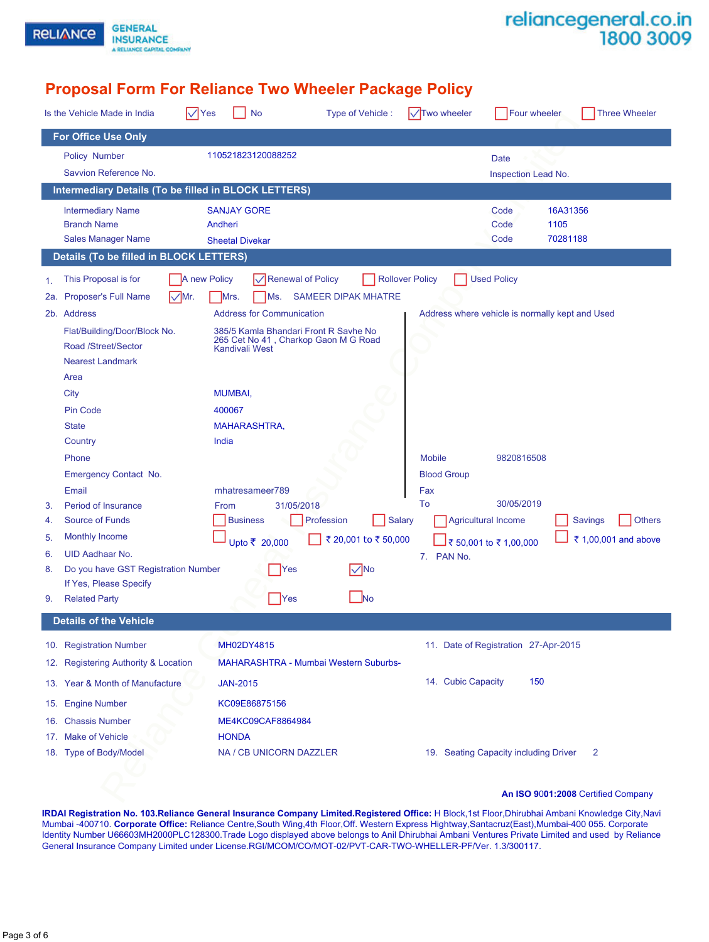| reliancegeneral.co.in |  |
|-----------------------|--|
| 1800 3009             |  |

# **Proposal Form For Reliance Two Wheeler Package Policy**

**GENERAL** 

**INSURANCE** A RELIANCE CAPITAL COMPANY

**RELIANCE** 

|          | $\nabla$ Yes<br>Is the Vehicle Made in India         | <b>No</b>                                                     | Type of Vehicle:           | $\sqrt{\text{Two wheeler}}$                     | <b>Four wheeler</b>        | <b>Three Wheeler</b>               |
|----------|------------------------------------------------------|---------------------------------------------------------------|----------------------------|-------------------------------------------------|----------------------------|------------------------------------|
|          | <b>For Office Use Only</b>                           |                                                               |                            |                                                 |                            |                                    |
|          | Policy Number                                        | 110521823120088252                                            |                            |                                                 | Date                       |                                    |
|          | Savvion Reference No.                                |                                                               |                            |                                                 | Inspection Lead No.        |                                    |
|          | Intermediary Details (To be filled in BLOCK LETTERS) |                                                               |                            |                                                 |                            |                                    |
|          | <b>Intermediary Name</b>                             | <b>SANJAY GORE</b>                                            |                            |                                                 | Code                       | 16A31356                           |
|          | <b>Branch Name</b>                                   | Andheri                                                       |                            |                                                 | Code                       | 1105                               |
|          | <b>Sales Manager Name</b>                            | <b>Sheetal Divekar</b>                                        |                            |                                                 | Code                       | 70281188                           |
|          | <b>Details (To be filled in BLOCK LETTERS)</b>       |                                                               |                            |                                                 |                            |                                    |
| 1.       | This Proposal is for<br>A new Policy                 | $\sqrt{}$ Renewal of Policy                                   |                            | <b>Rollover Policy</b>                          | <b>Used Policy</b>         |                                    |
| 2a.      | $\sqrt{Mr}$ .<br>Proposer's Full Name                | Mrs.<br>Ms.                                                   | <b>SAMEER DIPAK MHATRE</b> |                                                 |                            |                                    |
|          | 2b. Address                                          | <b>Address for Communication</b>                              |                            | Address where vehicle is normally kept and Used |                            |                                    |
|          | Flat/Building/Door/Block No.                         | 385/5 Kamla Bhandari Front R Savhe No                         |                            |                                                 |                            |                                    |
|          | Road /Street/Sector                                  | 265 Cet No 41, Charkop Gaon M G Road<br><b>Kandivali West</b> |                            |                                                 |                            |                                    |
|          | <b>Nearest Landmark</b>                              |                                                               |                            |                                                 |                            |                                    |
|          | Area                                                 |                                                               |                            |                                                 |                            |                                    |
|          | <b>City</b>                                          | <b>MUMBAI,</b>                                                |                            |                                                 |                            |                                    |
|          | Pin Code                                             | 400067                                                        |                            |                                                 |                            |                                    |
|          | <b>State</b>                                         | <b>MAHARASHTRA,</b>                                           |                            |                                                 |                            |                                    |
|          | Country                                              | India                                                         |                            |                                                 |                            |                                    |
|          | Phone                                                |                                                               |                            | <b>Mobile</b>                                   | 9820816508                 |                                    |
|          | <b>Emergency Contact No.</b>                         |                                                               |                            | <b>Blood Group</b>                              |                            |                                    |
|          | Email                                                | mhatresameer789                                               |                            | Fax                                             | 30/05/2019                 |                                    |
| 3.<br>4. | Period of Insurance<br><b>Source of Funds</b>        | 31/05/2018<br>From<br><b>Business</b>                         | Profession<br>Salary       | To                                              | <b>Agricultural Income</b> | <b>Others</b><br><b>Savings</b>    |
| 5.       | Monthly Income                                       |                                                               |                            |                                                 |                            |                                    |
| 6.       | <b>UID Aadhaar No.</b>                               | Upto ₹ 20,000                                                 | ₹ 20,001 to ₹ 50,000       |                                                 | ₹ 50,001 to ₹ 1,00,000     | ₹ 1,00,001 and above               |
| 8.       | Do you have GST Registration Number                  | Yes                                                           | $\nabla$ No                | PAN No.<br>7.                                   |                            |                                    |
|          | If Yes, Please Specify                               |                                                               |                            |                                                 |                            |                                    |
| 9.       | <b>Related Party</b>                                 | Yes                                                           | <u>J</u> No                |                                                 |                            |                                    |
|          | <b>Details of the Vehicle</b>                        |                                                               |                            |                                                 |                            |                                    |
|          | 10. Registration Number                              | MH02DY4815                                                    |                            | 11. Date of Registration 27-Apr-2015            |                            |                                    |
|          | 12. Registering Authority & Location                 | <b>MAHARASHTRA - Mumbai Western Suburbs-</b>                  |                            |                                                 |                            |                                    |
|          | 13. Year & Month of Manufacture                      | <b>JAN-2015</b>                                               |                            | 14. Cubic Capacity                              | 150                        |                                    |
|          | 15. Engine Number                                    | KC09E86875156                                                 |                            |                                                 |                            |                                    |
| 16.      | <b>Chassis Number</b>                                | ME4KC09CAF8864984                                             |                            |                                                 |                            |                                    |
| 17.      | <b>Make of Vehicle</b>                               | <b>HONDA</b>                                                  |                            |                                                 |                            |                                    |
|          | 18. Type of Body/Model                               | NA / CB UNICORN DAZZLER                                       |                            | 19. Seating Capacity including Driver           |                            | 2                                  |
|          |                                                      |                                                               |                            |                                                 |                            |                                    |
|          |                                                      |                                                               |                            |                                                 |                            |                                    |
|          |                                                      |                                                               |                            |                                                 |                            | An ISO 9001:2008 Certified Company |

**IRDAI Registration No. 103.Reliance General Insurance Company Limited.Registered Office:** H Block,1st Floor,Dhirubhai Ambani Knowledge City,Navi Mumbai -400710. **Corporate Office:** Reliance Centre,South Wing,4th Floor,Off. Western Express Hightway,Santacruz(East),Mumbai-400 055. Corporate Identity Number U66603MH2000PLC128300.Trade Logo displayed above belongs to Anil Dhirubhai Ambani Ventures Private Limited and used by Reliance General Insurance Company Limited under License.RGI/MCOM/CO/MOT-02/PVT-CAR-TWO-WHELLER-PF/Ver. 1.3/300117.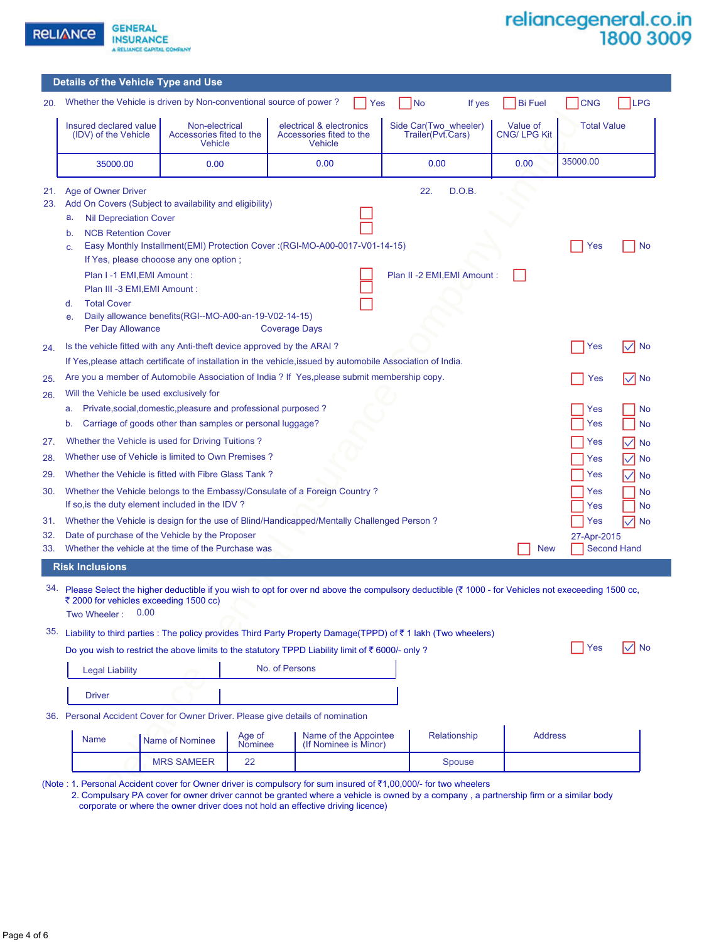

**GENERAL INSURANCE** A RELIANCE CAPITAL COMPANY

|                   | Details of the Vehicle Type and Use                                                                                                                                                                                                                                                                |                                                              |                          |                                                                                                     |                                            |              |                                |                    |                                      |
|-------------------|----------------------------------------------------------------------------------------------------------------------------------------------------------------------------------------------------------------------------------------------------------------------------------------------------|--------------------------------------------------------------|--------------------------|-----------------------------------------------------------------------------------------------------|--------------------------------------------|--------------|--------------------------------|--------------------|--------------------------------------|
| 20.               | Whether the Vehicle is driven by Non-conventional source of power?                                                                                                                                                                                                                                 |                                                              |                          |                                                                                                     | No<br>Yes                                  | If yes       | <b>Bi</b> Fuel                 | <b>CNG</b>         | <b>LPG</b>                           |
|                   | Insured declared value<br>(IDV) of the Vehicle                                                                                                                                                                                                                                                     | Non-electrical<br>Accessories fited to the<br><b>Vehicle</b> |                          | electrical & electronics<br>Accessories fited to the<br><b>Vehicle</b>                              | Side Car(Two wheeler)<br>Trailer(Pvt.Cars) |              | Value of<br><b>CNG/LPG Kit</b> | <b>Total Value</b> |                                      |
|                   | 35000.00                                                                                                                                                                                                                                                                                           | 0.00                                                         |                          | 0.00                                                                                                | 0.00                                       |              | 0.00                           | 35000.00           |                                      |
| 21.<br>23.        | Age of Owner Driver<br>Add On Covers (Subject to availability and eligibility)<br><b>Nil Depreciation Cover</b><br>a.<br><b>NCB Retention Cover</b><br>b.                                                                                                                                          |                                                              |                          |                                                                                                     | 22.                                        | D.O.B.       |                                |                    |                                      |
|                   | C.<br>If Yes, please chooose any one option;<br>Plan I-1 EMI, EMI Amount:<br>Plan III -3 EMI, EMI Amount :<br><b>Total Cover</b><br>d.<br>Daily allowance benefits(RGI--MO-A00-an-19-V02-14-15)<br>e.<br>Per Day Allowance                                                                         |                                                              |                          | Easy Monthly Installment(EMI) Protection Cover: (RGI-MO-A00-0017-V01-14-15)<br><b>Coverage Days</b> | Plan II -2 EMI, EMI Amount:                |              |                                | Yes                | No                                   |
| 24.               | Is the vehicle fitted with any Anti-theft device approved by the ARAI?<br>If Yes, please attach certificate of installation in the vehicle, issued by automobile Association of India.                                                                                                             |                                                              |                          |                                                                                                     |                                            |              |                                | Yes                | $\checkmark$<br><b>No</b>            |
| 25.               | Are you a member of Automobile Association of India ? If Yes, please submit membership copy.                                                                                                                                                                                                       |                                                              |                          |                                                                                                     |                                            |              |                                | Yes                | I∨  No                               |
| 26.<br>27.        | Will the Vehicle be used exclusively for<br>Private, social, domestic, pleasure and professional purposed?<br>No<br>Yes<br>a.<br>Carriage of goods other than samples or personal luggage?<br>Yes<br><b>No</b><br>b.<br>Whether the Vehicle is used for Driving Tuitions?<br>Yes<br><b>No</b><br>∨ |                                                              |                          |                                                                                                     |                                            |              |                                |                    |                                      |
| 28.               | Whether use of Vehicle is limited to Own Premises?                                                                                                                                                                                                                                                 |                                                              |                          |                                                                                                     |                                            |              |                                | Yes                | <b>No</b><br>$\checkmark$            |
| 29.<br>30.        | Whether the Vehicle is fitted with Fibre Glass Tank?<br>Whether the Vehicle belongs to the Embassy/Consulate of a Foreign Country?<br>If so, is the duty element included in the IDV?                                                                                                              |                                                              |                          |                                                                                                     |                                            |              |                                | Yes<br>Yes<br>Yes  | ∨<br><b>No</b><br>No<br>No           |
| 31.<br>32.<br>33. | Whether the Vehicle is design for the use of Blind/Handicapped/Mentally Challenged Person?<br>Date of purchase of the Vehicle by the Proposer<br>Whether the vehicle at the time of the Purchase was                                                                                               |                                                              |                          |                                                                                                     |                                            |              | <b>New</b>                     | Yes<br>27-Apr-2015 | M<br><b>No</b><br><b>Second Hand</b> |
|                   | <b>Risk Inclusions</b>                                                                                                                                                                                                                                                                             |                                                              |                          |                                                                                                     |                                            |              |                                |                    |                                      |
| 34.               | Please Select the higher deductible if you wish to opt for over nd above the compulsory deductible ( $\bar{\tau}$ 1000 - for Vehicles not execeeding 1500 cc,<br>₹ 2000 for vehicles exceeding 1500 cc)<br>0.00<br>Two Wheeler:                                                                    |                                                              |                          |                                                                                                     |                                            |              |                                |                    |                                      |
| 35.               | Liability to third parties : The policy provides Third Party Property Damage(TPPD) of ₹1 lakh (Two wheelers)                                                                                                                                                                                       |                                                              |                          |                                                                                                     |                                            |              |                                | Yes                | <b>No</b><br>$\checkmark$            |
|                   | Do you wish to restrict the above limits to the statutory TPPD Liability limit of $\bar{\tau}$ 6000/- only ?                                                                                                                                                                                       |                                                              |                          | No. of Persons                                                                                      |                                            |              |                                |                    |                                      |
|                   | <b>Legal Liability</b>                                                                                                                                                                                                                                                                             |                                                              |                          |                                                                                                     |                                            |              |                                |                    |                                      |
|                   | <b>Driver</b>                                                                                                                                                                                                                                                                                      |                                                              |                          |                                                                                                     |                                            |              |                                |                    |                                      |
|                   | 36. Personal Accident Cover for Owner Driver. Please give details of nomination                                                                                                                                                                                                                    |                                                              |                          |                                                                                                     |                                            |              |                                |                    |                                      |
|                   | <b>Name</b>                                                                                                                                                                                                                                                                                        | Name of Nominee                                              | Age of<br><b>Nominee</b> | Name of the Appointee<br>(If Nominee is Minor)                                                      |                                            | Relationship | <b>Address</b>                 |                    |                                      |
|                   |                                                                                                                                                                                                                                                                                                    |                                                              |                          |                                                                                                     |                                            |              |                                |                    |                                      |

|  | 35. Liability to third parties : The policy provides Third Party Property Damage(TPPD) of ₹1 lakh (Two wheelers) |  |  |  |  |  |
|--|------------------------------------------------------------------------------------------------------------------|--|--|--|--|--|
|--|------------------------------------------------------------------------------------------------------------------|--|--|--|--|--|

| <b>Yes</b> |  | ✓l No |
|------------|--|-------|
|------------|--|-------|

| <b>Legal Liability</b> | No. of Persons |  |
|------------------------|----------------|--|
| Driver                 |                |  |

| Name | Name of Nominee   | Age of<br><b>Nominee</b> | Name of the Appointee<br>(If Nominee is Minor) | Relationship | <b>Address</b> |
|------|-------------------|--------------------------|------------------------------------------------|--------------|----------------|
|      | <b>MRS SAMEER</b> | ∼                        |                                                | Spouse       |                |

 2. Compulsary PA cover for owner driver cannot be granted where a vehicle is owned by a company , a partnership firm or a similar body corporate or where the owner driver does not hold an effective driving licence)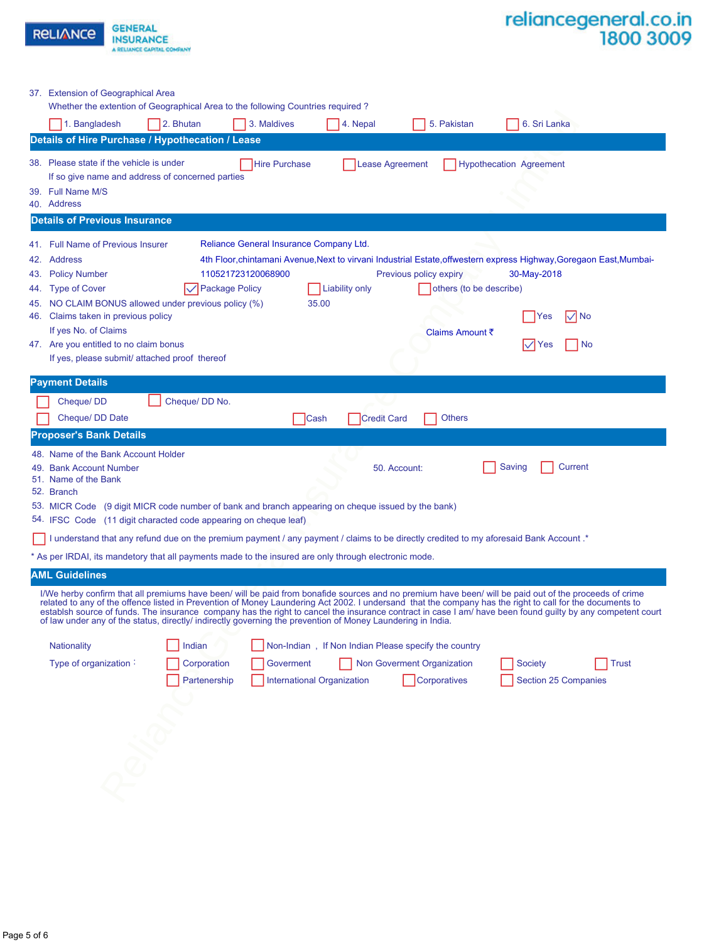| <b>RELIANCE</b>                                                                                                                                                                                                                   | <b>GENERAL</b><br><b>INSURANCE</b><br>A RELIANCE CAPITAL COMPANY                                                                                                                                                                                                                                                                                                                                                                                                                                                                                                                                |                                                                        |                        |                                                                      |                                                                                                                                                                             | reliancegeneral.co.in<br>1800 3009 |
|-----------------------------------------------------------------------------------------------------------------------------------------------------------------------------------------------------------------------------------|-------------------------------------------------------------------------------------------------------------------------------------------------------------------------------------------------------------------------------------------------------------------------------------------------------------------------------------------------------------------------------------------------------------------------------------------------------------------------------------------------------------------------------------------------------------------------------------------------|------------------------------------------------------------------------|------------------------|----------------------------------------------------------------------|-----------------------------------------------------------------------------------------------------------------------------------------------------------------------------|------------------------------------|
| 37. Extension of Geographical Area<br>1. Bangladesh                                                                                                                                                                               | Whether the extention of Geographical Area to the following Countries required?<br>2. Bhutan<br>Details of Hire Purchase / Hypothecation / Lease                                                                                                                                                                                                                                                                                                                                                                                                                                                | 3. Maldives                                                            | 4. Nepal               | 5. Pakistan                                                          | 6. Sri Lanka                                                                                                                                                                |                                    |
| 38. Please state if the vehicle is under<br>39. Full Name M/S<br>40. Address                                                                                                                                                      | If so give name and address of concerned parties                                                                                                                                                                                                                                                                                                                                                                                                                                                                                                                                                | <b>Hire Purchase</b>                                                   | <b>Lease Agreement</b> |                                                                      | <b>Hypothecation Agreement</b>                                                                                                                                              |                                    |
| <b>Details of Previous Insurance</b>                                                                                                                                                                                              |                                                                                                                                                                                                                                                                                                                                                                                                                                                                                                                                                                                                 |                                                                        |                        |                                                                      |                                                                                                                                                                             |                                    |
| 41. Full Name of Previous Insurer<br>42. Address<br><b>Policy Number</b><br>43.<br><b>Type of Cover</b><br>44.<br>45.<br>Claims taken in previous policy<br>46.<br>If yes No. of Claims<br>47. Are you entitled to no claim bonus | <b>Package Policy</b><br>NO CLAIM BONUS allowed under previous policy (%)<br>If yes, please submit/ attached proof thereof                                                                                                                                                                                                                                                                                                                                                                                                                                                                      | Reliance General Insurance Company Ltd.<br>110521723120068900<br>35.00 | Liability only         | Previous policy expiry<br>others (to be describe)<br>Claims Amount ₹ | 4th Floor, chintamani Avenue, Next to virvani Industrial Estate, offwestern express Highway, Goregaon East, Mumbai-<br>30-May-2018<br>$\nabla$ No<br> Yes<br>No.<br>I√  Yes |                                    |
| <b>Payment Details</b>                                                                                                                                                                                                            |                                                                                                                                                                                                                                                                                                                                                                                                                                                                                                                                                                                                 |                                                                        |                        |                                                                      |                                                                                                                                                                             |                                    |
| Cheque/DD<br>Cheque/ DD Date                                                                                                                                                                                                      | Cheque/ DD No.                                                                                                                                                                                                                                                                                                                                                                                                                                                                                                                                                                                  | <b>Cash</b>                                                            | <b>Credit Card</b>     | <b>Others</b>                                                        |                                                                                                                                                                             |                                    |
| <b>Proposer's Bank Details</b><br>48. Name of the Bank Account Holder<br><b>Bank Account Number</b><br>51. Name of the Bank<br>52. Branch                                                                                         | 53. MICR Code (9 digit MICR code number of bank and branch appearing on cheque issued by the bank)<br>54. IFSC Code (11 digit characted code appearing on cheque leaf)                                                                                                                                                                                                                                                                                                                                                                                                                          |                                                                        |                        | 50. Account:                                                         | Saving<br>Current                                                                                                                                                           |                                    |
|                                                                                                                                                                                                                                   | I understand that any refund due on the premium payment / any payment / claims to be directly credited to my aforesaid Bank Account .*                                                                                                                                                                                                                                                                                                                                                                                                                                                          |                                                                        |                        |                                                                      |                                                                                                                                                                             |                                    |
|                                                                                                                                                                                                                                   | * As per IRDAI, its mandetory that all payments made to the insured are only through electronic mode.                                                                                                                                                                                                                                                                                                                                                                                                                                                                                           |                                                                        |                        |                                                                      |                                                                                                                                                                             |                                    |
| <b>AML Guidelines</b>                                                                                                                                                                                                             | I/We herby confirm that all premiums have been/ will be paid from bonafide sources and no premium have been/ will be paid out of the proceeds of crime<br>related to any of the offence listed in Prevention of Money Laundering Act 2002. I undersand that the company has the right to call for the documents to<br>establsh source of funds. The insurance company has the right to cancel the insurance contract in case I am/ have been found guilty by any competent court<br>of law under any of the status, directly/ indirectly governing the prevention of Money Laundering in India. |                                                                        |                        |                                                                      |                                                                                                                                                                             |                                    |
| <b>Nationality</b>                                                                                                                                                                                                                | Indian                                                                                                                                                                                                                                                                                                                                                                                                                                                                                                                                                                                          |                                                                        |                        | Non-Indian, If Non Indian Please specify the country                 |                                                                                                                                                                             |                                    |
| Type of organization:                                                                                                                                                                                                             | Corporation<br>Partenership                                                                                                                                                                                                                                                                                                                                                                                                                                                                                                                                                                     | Goverment<br><b>International Organization</b>                         |                        | Non Goverment Organization<br>Corporatives                           | <b>Society</b><br>Section 25 Companies                                                                                                                                      | <b>Trust</b>                       |